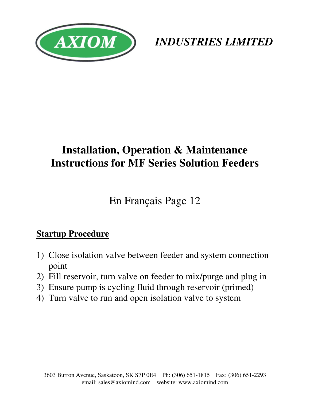

*INDUSTRIES LIMITED*

# **Installation, Operation & Maintenance Instructions for MF Series Solution Feeders**

En Français Page 12

# **Startup Procedure**

- 1) Close isolation valve between feeder and system connection point
- 2) Fill reservoir, turn valve on feeder to mix/purge and plug in
- 3) Ensure pump is cycling fluid through reservoir (primed)
- 4) Turn valve to run and open isolation valve to system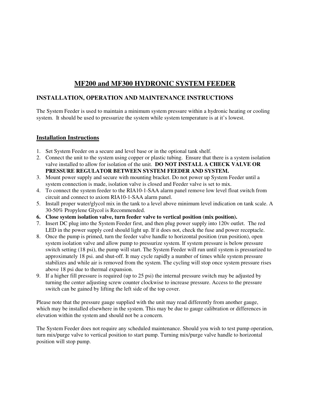#### **MF200 and MF300 HYDRONIC SYSTEM FEEDER**

#### **INSTALLATION, OPERATION AND MAINTENANCE INSTRUCTIONS**

The System Feeder is used to maintain a minimum system pressure within a hydronic heating or cooling system. It should be used to pressurize the system while system temperature is at it's lowest.

#### **Installation Instructions**

- 1. Set System Feeder on a secure and level base or in the optional tank shelf.
- 2. Connect the unit to the system using copper or plastic tubing. Ensure that there is a system isolation valve installed to allow for isolation of the unit. **DO NOT INSTALL A CHECK VALVE OR PRESSURE REGULATOR BETWEEN SYSTEM FEEDER AND SYSTEM.**
- 3. Mount power supply and secure with mounting bracket. Do not power up System Feeder until a system connection is made, isolation valve is closed and Feeder valve is set to mix.
- 4. To connect the system feeder to the RIA10-1-SAA alarm panel remove low level float switch from circuit and connect to axiom RIA10-1-SAA alarm panel.
- 5. Install proper water/glycol mix in the tank to a level above minimum level indication on tank scale. A 30-50% Propylene Glycol is Recommended.
- **6. Close system isolation valve, turn feeder valve to vertical position (mix position).**
- 7. Insert DC plug into the System Feeder first, and then plug power supply into 120v outlet. The red LED in the power supply cord should light up. If it does not, check the fuse and power receptacle.
- 8. Once the pump is primed, turn the feeder valve handle to horizontal position (run position), open system isolation valve and allow pump to pressurize system. If system pressure is below pressure switch setting (18 psi), the pump will start. The System Feeder will run until system is pressurized to approximately 18 psi. and shut-off. It may cycle rapidly a number of times while system pressure stabilizes and while air is removed from the system. The cycling will stop once system pressure rises above 18 psi due to thermal expansion.
- 9. If a higher fill pressure is required (up to 25 psi) the internal pressure switch may be adjusted by turning the center adjusting screw counter clockwise to increase pressure. Access to the pressure switch can be gained by lifting the left side of the top cover.

Please note that the pressure gauge supplied with the unit may read differently from another gauge, which may be installed elsewhere in the system. This may be due to gauge calibration or differences in elevation within the system and should not be a concern.

The System Feeder does not require any scheduled maintenance. Should you wish to test pump operation, turn mix/purge valve to vertical position to start pump. Turning mix/purge valve handle to horizontal position will stop pump.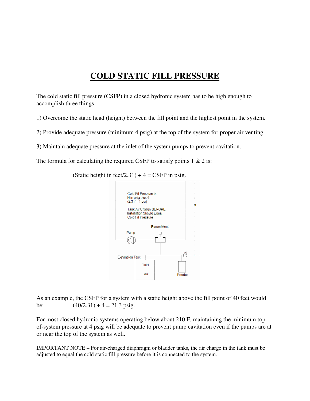### **COLD STATIC FILL PRESSURE**

The cold static fill pressure (CSFP) in a closed hydronic system has to be high enough to accomplish three things.

1) Overcome the static head (height) between the fill point and the highest point in the system.

2) Provide adequate pressure (minimum 4 psig) at the top of the system for proper air venting.

3) Maintain adequate pressure at the inlet of the system pumps to prevent cavitation.

The formula for calculating the required CSFP to satisfy points  $1 \& 2$  is:



(Static height in feet/2.31) +  $4 = CSFP$  in psig.

As an example, the CSFP for a system with a static height above the fill point of 40 feet would be:  $(40/2.31) + 4 = 21.3 \text{ psig.}$ 

For most closed hydronic systems operating below about 210 F, maintaining the minimum topof-system pressure at 4 psig will be adequate to prevent pump cavitation even if the pumps are at or near the top of the system as well.

IMPORTANT NOTE – For air-charged diaphragm or bladder tanks, the air charge in the tank must be adjusted to equal the cold static fill pressure before it is connected to the system.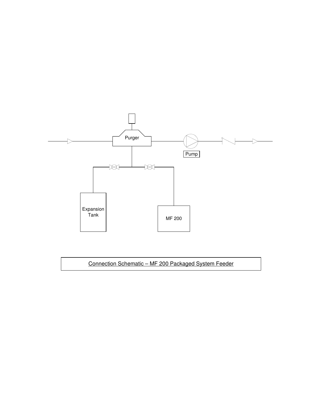

#### Connection Schematic – MF 200 Packaged System Feeder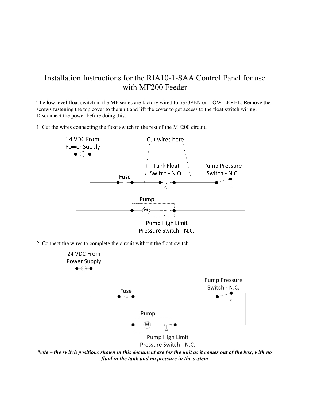### Installation Instructions for the RIA10-1-SAA Control Panel for use with MF200 Feeder

The low level float switch in the MF series are factory wired to be OPEN on LOW LEVEL. Remove the screws fastening the top cover to the unit and lift the cover to get access to the float switch wiring. Disconnect the power before doing this.

1. Cut the wires connecting the float switch to the rest of the MF200 circuit.



2. Connect the wires to complete the circuit without the float switch.



*Note – the switch positions shown in this document are for the unit as it comes out of the box, with no fluid in the tank and no pressure in the system*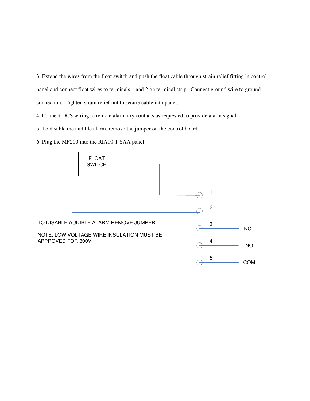3. Extend the wires from the float switch and push the float cable through strain relief fitting in control panel and connect float wires to terminals 1 and 2 on terminal strip. Connect ground wire to ground connection. Tighten strain relief nut to secure cable into panel.

4. Connect DCS wiring to remote alarm dry contacts as requested to provide alarm signal.

5. To disable the audible alarm, remove the jumper on the control board.

6. Plug the MF200 into the RIA10-1-SAA panel.

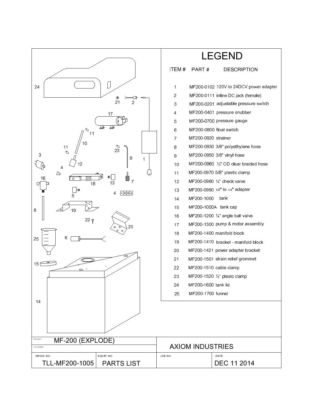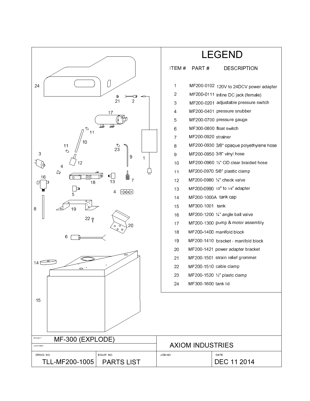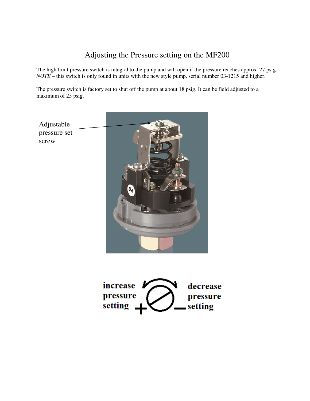### Adjusting the Pressure setting on the MF200

The high limit pressure switch is integral to the pump and will open if the pressure reaches approx. 27 psig. *NOTE* – this switch is only found in units with the new style pump, serial number 03-1215 and higher.

The pressure switch is factory set to shut off the pump at about 18 psig. It can be field adjusted to a maximum of 25 psig.



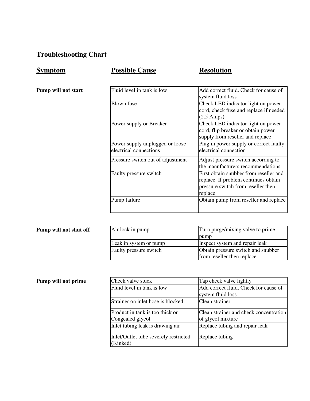### **Troubleshooting Chart**

### **Symptom Possible Cause Resolution**

Pump will not start

| Fluid level in tank is low        | Add correct fluid. Check for cause of  |
|-----------------------------------|----------------------------------------|
|                                   | system fluid loss                      |
| Blown fuse                        | Check LED indicator light on power     |
|                                   | cord, check fuse and replace if needed |
|                                   | $(2.5 \text{ Amps})$                   |
| Power supply or Breaker           | Check LED indicator light on power     |
|                                   | cord, flip breaker or obtain power     |
|                                   | supply from reseller and replace       |
| Power supply unplugged or loose   | Plug in power supply or correct faulty |
| electrical connections            | electrical connection                  |
| Pressure switch out of adjustment | Adjust pressure switch according to    |
|                                   | the manufacturers recommendations      |
| Faulty pressure switch            | First obtain snubber from reseller and |
|                                   | replace. If problem continues obtain   |
|                                   | pressure switch from reseller then     |
|                                   | replace                                |
| Pump failure                      | Obtain pump from reseller and replace  |
|                                   |                                        |

| Pump will not shut off | Air lock in pump       | Turn purge/mixing valve to prime   |
|------------------------|------------------------|------------------------------------|
|                        |                        | pump                               |
|                        | Leak in system or pump | Inspect system and repair leak     |
|                        | Faulty pressure switch | Obtain pressure switch and snubber |
|                        |                        | from reseller then replace         |

| Pump will not prime |  |
|---------------------|--|
|---------------------|--|

| Pump will not prime | Check valve stuck                                 | Tap check valve lightly                |
|---------------------|---------------------------------------------------|----------------------------------------|
|                     | Fluid level in tank is low                        | Add correct fluid. Check for cause of  |
|                     |                                                   | system fluid loss                      |
|                     | Strainer on inlet hose is blocked                 | Clean strainer                         |
|                     | Product in tank is too thick or                   | Clean strainer and check concentration |
|                     | Congealed glycol                                  | of glycol mixture                      |
|                     | Inlet tubing leak is drawing air                  | Replace tubing and repair leak         |
|                     | Inlet/Outlet tube severely restricted<br>(Kinked) | Replace tubing                         |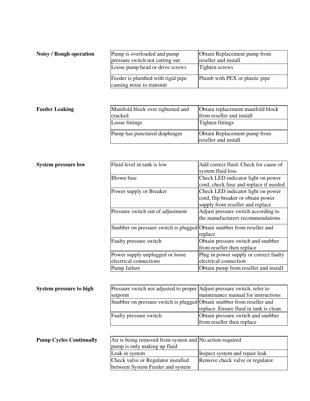| Noisy / Rough operation | Pump is overloaded and pump<br>pressure switch not cutting out<br>Loose pump head or drive screws | Obtain Replacement pump from<br>reseller and install<br>Tighten screws |
|-------------------------|---------------------------------------------------------------------------------------------------|------------------------------------------------------------------------|
|                         | Feeder is plumbed with rigid pipe<br>causing noise to transmit                                    | Plumb with PEX or plastic pipe                                         |

#### **Feeder Leaking**

| Manifold block over tightened and<br>cracked | Obtain replacement manifold block<br>from reseller and install |
|----------------------------------------------|----------------------------------------------------------------|
| Loose fittings                               | Tighten fittings                                               |
| Pump has punctured diaphragm                 | Obtain Replacement pump from<br>reseller and install           |

| <b>System pressure low</b> | Fluid level in tank is low                                              | Add correct fluid. Check for cause of<br>system fluid loss                                                   |
|----------------------------|-------------------------------------------------------------------------|--------------------------------------------------------------------------------------------------------------|
|                            | Blown fuse                                                              | Check LED indicator light on power<br>cord, check fuse and replace if needed                                 |
|                            | Power supply or Breaker                                                 | Check LED indicator light on power<br>cord, flip breaker or obtain power<br>supply from reseller and replace |
|                            | Pressure switch out of adjustment                                       | Adjust pressure switch according to<br>the manufacturers recommendations                                     |
|                            | Snubber on pressure switch is plugged Obtain snubber from reseller and  | replace                                                                                                      |
|                            | Faulty pressure switch                                                  | Obtain pressure switch and snubber<br>from reseller then replace                                             |
|                            | Power supply unplugged or loose<br>electrical connections               | Plug in power supply or correct faulty<br>electrical connection                                              |
|                            | Pump failure                                                            | Obtain pump from reseller and install                                                                        |
|                            |                                                                         |                                                                                                              |
| Svstem pressure to high    | Pressure switch not adjusted to proper Adjust pressure switch, refer to |                                                                                                              |

| System pressure to high | Pressure switch not adjusted to proper Adjust pressure switch, refer to |                                         |
|-------------------------|-------------------------------------------------------------------------|-----------------------------------------|
|                         | setpoint                                                                | maintenance manual for instructions     |
|                         | Shubber on pressure switch is plugged Obtain shubber from reseller and  |                                         |
|                         |                                                                         | replace. Ensure fluid in tank is clean. |
|                         | Faulty pressure switch                                                  | Obtain pressure switch and snubber      |
|                         |                                                                         | from reseller then replace              |
|                         |                                                                         |                                         |

| Air is being removed from system and No action required |                                 |
|---------------------------------------------------------|---------------------------------|
| pump is only making up fluid                            |                                 |
| Leak in system                                          | Inspect system and repair leak  |
| Check valve or Regulator installed                      | Remove check valve or regulator |
| between System Feeder and system                        |                                 |

**Pump Cycles Continually**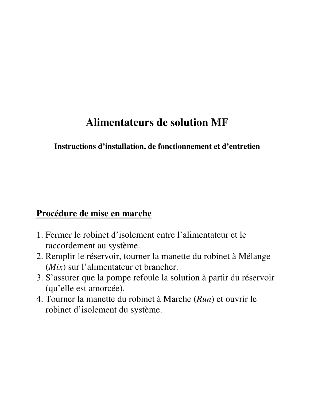# **Alimentateurs de solution MF**

### **Instructions d'installation, de fonctionnement et d'entretien**

# **Procédure de mise en marche**

- 1. Fermer le robinet d'isolement entre l'alimentateur et le raccordement au système.
- 2. Remplir le réservoir, tourner la manette du robinet à Mélange (*Mix*) sur l'alimentateur et brancher.
- 3. S'assurer que la pompe refoule la solution à partir du réservoir (qu'elle est amorcée).
- 4. Tourner la manette du robinet à Marche (*Run*) et ouvrir le robinet d'isolement du système.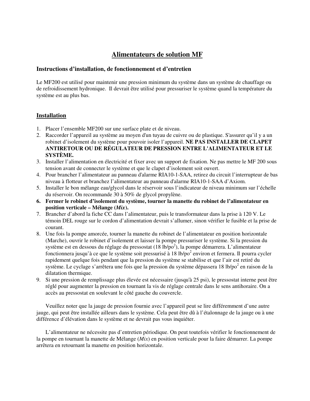#### **Alimentateurs de solution MF**

#### **Instructions d'installation, de fonctionnement et d'entretien**

Le MF200 est utilisé pour maintenir une pression minimum du système dans un système de chauffage ou de refroidissement hydronique. Il devrait être utilisé pour pressuriser le système quand la température du système est au plus bas.

#### **Installation**

- 1. Placer l'ensemble MF200 sur une surface plate et de niveau.
- 2. Raccorder l'appareil au système au moyen d'un tuyau de cuivre ou de plastique. S'assurer qu'il y a un robinet d'isolement du système pour pouvoir isoler l'appareil. **NE PAS INSTALLER DE CLAPET ANTIRETOUR OU DE RÉGULATEUR DE PRESSION ENTRE L'ALIMENTATEUR ET LE SYSTÈME.**
- 3. Installer l'alimentation en électricité et fixer avec un support de fixation. Ne pas mettre le MF 200 sous tension avant de connecter le système et que le clapet d'isolement soit ouvert.
- 4. Pour brancher l'alimentateur au panneau d'alarme RIA10-1-SAA, retirez du circuit l'interrupteur de bas niveau à flotteur et branchez l'alimentateur au panneau d'alarme RIA10-1-SAA d'Axiom.
- 5. Installer le bon mélange eau/glycol dans le réservoir sous l'indicateur de niveau minimum sur l'échelle du réservoir. On recommande 30 à 50% de glycol propylène.
- **6. Fermer le robinet d'isolement du système, tourner la manette du robinet de l'alimentateur en position verticale – Mélange (***Mix***).**
- 7. Brancher d'abord la fiche CC dans l'alimentateur, puis le transformateur dans la prise à 120 V. Le témoin DEL rouge sur le cordon d'alimentation devrait s'allumer, sinon vérifier le fusible et la prise de courant.
- 8. Une fois la pompe amorcée, tourner la manette du robinet de l'alimentateur en position horizontale (Marche), ouvrir le robinet d'isolement et laisser la pompe pressuriser le système. Si la pression du système est en dessous du réglage du pressostat  $(18 \text{ lb/po}^2)$ , la pompe démarrera. L'alimentateur fonctionnera jusqu'à ce que le système soit pressurisé à 18 lb/po<sup>2</sup> environ et fermera. Il pourra cycler rapidement quelque fois pendant que la pression du système se stabilise et que l'air est retiré du système. Le cyclage s'arrêtera une fois que la pression du système dépassera 18 lb/po<sup>2</sup> en raison de la dilatation thermique.
- 9. Si une pression de remplissage plus élevée est nécessaire (jusqu'à 25 psi), le pressostat interne peut être réglé pour augmenter la pression en tournant la vis de réglage centrale dans le sens antihoraire. On a accès au pressostat en soulevant le côté gauche du couvercle.

Veuillez noter que la jauge de pression fournie avec l'appareil peut se lire différemment d'une autre jauge, qui peut être installée ailleurs dans le système. Cela peut être dû à l'étalonnage de la jauge ou à une différence d'élévation dans le système et ne devrait pas vous inquiéter.

L'alimentateur ne nécessite pas d'entretien périodique. On peut toutefois vérifier le fonctionnement de la pompe en tournant la manette de Mélange (*Mix*) en position verticale pour la faire démarrer. La pompe arrêtera en retournant la manette en position horizontale.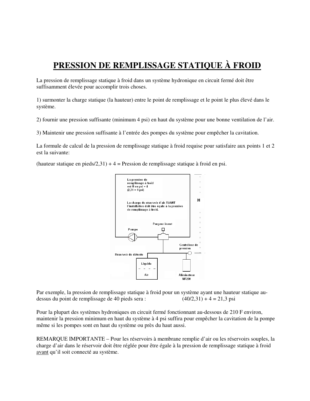## **PRESSION DE REMPLISSAGE STATIQUE À FROID**

La pression de remplissage statique à froid dans un système hydronique en circuit fermé doit être suffisamment élevée pour accomplir trois choses.

1) surmonter la charge statique (la hauteur) entre le point de remplissage et le point le plus élevé dans le système.

2) fournir une pression suffisante (minimum 4 psi) en haut du système pour une bonne ventilation de l'air.

3) Maintenir une pression suffisante à l'entrée des pompes du système pour empêcher la cavitation.

La formule de calcul de la pression de remplissage statique à froid requise pour satisfaire aux points 1 et 2 est la suivante:

(hauteur statique en pieds/2,31) + 4 = Pression de remplissage statique à froid en psi.



Par exemple, la pression de remplissage statique à froid pour un système ayant une hauteur statique audessus du point de remplissage de 40 pieds sera :  $(40/2,31) + 4 = 21,3$  psi

Pour la plupart des systèmes hydroniques en circuit fermé fonctionnant au-dessous de 210 F environ, maintenir la pression minimum en haut du système à 4 psi suffira pour empêcher la cavitation de la pompe même si les pompes sont en haut du système ou près du haut aussi.

REMARQUE IMPORTANTE – Pour les réservoirs à membrane remplie d'air ou les réservoirs souples, la charge d'air dans le réservoir doit être réglée pour être égale à la pression de remplissage statique à froid avant qu'il soit connecté au système.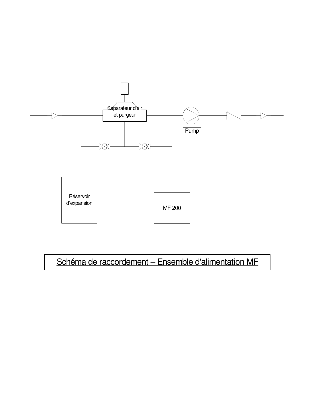

# Schéma de raccordement – Ensemble d'alimentation MF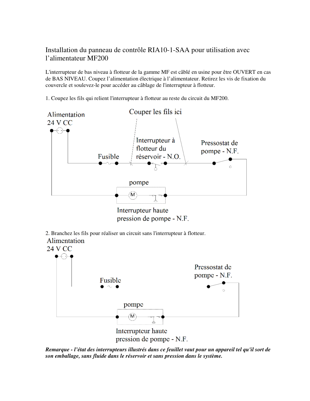#### Installation du panneau de contrôle RIA10-1-SAA pour utilisation avec l'alimentateur MF200

L'interrupteur de bas niveau à flotteur de la gamme MF est câblé en usine pour être OUVERT en cas de BAS NIVEAU. Coupez l'alimentation électrique à l'alimentateur. Retirez les vis de fixation du couvercle et soulevez-le pour accéder au câblage de l'interrupteur à flotteur.

1. Coupez les fils qui relient l'interrupteur à flotteur au reste du circuit du MF200.



pression de pompe - N.F.

*Remarque - l'état des interrupteurs illustrés dans ce feuillet vaut pour un appareil tel qu'il sort de son emballage, sans fluide dans le réservoir et sans pression dans le système.*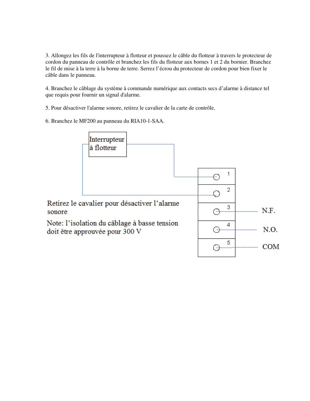3. Allongez les fils de l'interrupteur à flotteur et poussez le câble du flotteur à travers le protecteur de cordon du panneau de contrôle et branchez les fils du flotteur aux bornes 1 et 2 du bornier. Branchez le fil de mise à la terre à la borne de terre. Serrez l'écrou du protecteur de cordon pour bien fixer le câble dans le panneau.

4. Branchez le câblage du système à commande numérique aux contacts secs d'alarme à distance tel que requis pour fournir un signal d'alarme.

5. Pour désactiver l'alarme sonore, retirez le cavalier de la carte de contrôle.

6. Branchez le MF200 au panneau du RIA10-1-SAA.

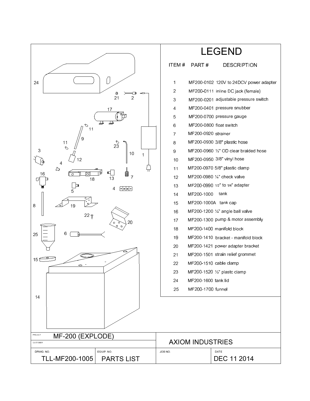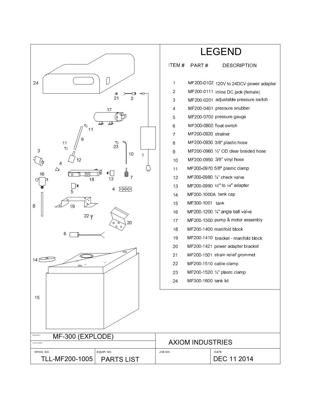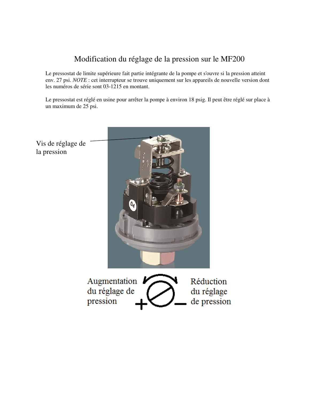## Modification du réglage de la pression sur le MF200

Le pressostat de limite supérieure fait partie intégrante de la pompe et s'ouvre si la pression atteint env. 27 psi. *NOTE* : cet interrupteur se trouve uniquement sur les appareils de nouvelle version dont les numéros de série sont 03-1215 en montant.

Le pressostat est réglé en usine pour arrêter la pompe à environ 18 psig. Il peut être réglé sur place à un maximum de 25 psi.



Vis de réglage de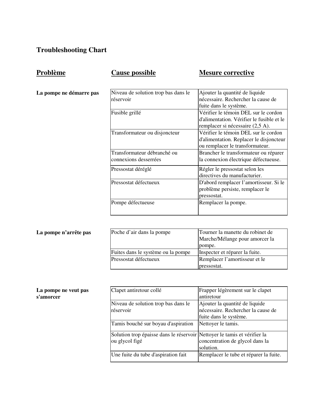# **Troubleshooting Chart**

| <b>Cause possible</b>                                | <b>Mesure corrective</b>                                                                                              |
|------------------------------------------------------|-----------------------------------------------------------------------------------------------------------------------|
| Niveau de solution trop bas dans le<br>réservoir     | Ajouter la quantité de liquide<br>nécessaire. Rechercher la cause de<br>fuite dans le système.                        |
| Fusible grillé                                       | Vérifier le témoin DEL sur le cordon<br>d'alimentation. Vérifier le fusible et le<br>remplacer si nécessaire (2,5 A). |
| Transformateur ou disjoncteur                        | Vérifier le témoin DEL sur le cordon<br>d'alimentation. Replacer le disjoncteur<br>ou remplacer le transformateur.    |
| Transformateur débranché ou<br>connexions desserrées | Brancher le transformateur ou réparer<br>la connexion électrique défectueuse.                                         |
| Pressostat déréglé                                   | Régler le pressostat selon les<br>directives du manufacturier.                                                        |
| Pressostat défectueux                                | D'abord remplacer l'amortisseur. Si le<br>problème persiste, remplacer le<br>pressostat.                              |
| Pompe défectueuse                                    | Remplacer la pompe.                                                                                                   |

# La pompe ne démarre

**Problème** 

| La pompe n'arrête pas |  |
|-----------------------|--|
|-----------------------|--|

| La pompe n'arrête pas | Poche d'air dans la pompe          | Tourner la manette du robinet de<br>Marche/Mélange pour amorcer la<br>pompe. |
|-----------------------|------------------------------------|------------------------------------------------------------------------------|
|                       | Fuites dans le système ou la pompe | Inspecter et réparer la fuite.                                               |
|                       | Pressostat défectueux              | Remplacer l'amortisseur et le                                                |
|                       |                                    | pressostat.                                                                  |

| La pompe ne veut pas |  |
|----------------------|--|
| s'amorcer            |  |

| Clapet antiretour collé                                                  | Frapper légèrement sur le clapet       |
|--------------------------------------------------------------------------|----------------------------------------|
|                                                                          | antiretour                             |
| Niveau de solution trop bas dans le                                      | Ajouter la quantité de liquide         |
| réservoir                                                                | nécessaire. Rechercher la cause de     |
|                                                                          | fuite dans le système.                 |
| Tamis bouché sur boyau d'aspiration                                      | Nettoyer le tamis.                     |
| Solution trop épaisse dans le réservoir Nettoyer le tamis et vérifier la |                                        |
| ou glycol figé                                                           | concentration de glycol dans la        |
|                                                                          | solution.                              |
| Une fuite du tube d'aspiration fait                                      | Remplacer le tube et réparer la fuite. |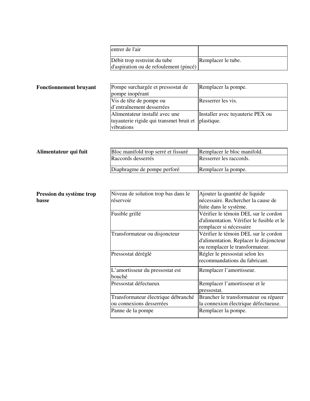|                               | entrer de l'air                                                        |                                  |
|-------------------------------|------------------------------------------------------------------------|----------------------------------|
|                               | Débit trop restreint du tube<br>d'aspiration ou de refoulement (pincé) | Remplacer le tube.               |
|                               |                                                                        |                                  |
| <b>Fonctionnement bruyant</b> | Pompe surchargée et pressostat de<br>pompe inopérant                   | Remplacer la pompe.              |
|                               | Vis de tête de pompe ou<br>d'entraînement desserrées                   | Resserrer les vis.               |
|                               | Alimentateur installé avec une                                         | Installer avec tuyauterie PEX ou |
|                               | tuyauterie rigide qui transmet bruit et                                | plastique.                       |
|                               | vibrations                                                             |                                  |

| Alimentateur qui fuit | Bloc manifold trop serré et fissuré | Remplacer le bloc manifold. |
|-----------------------|-------------------------------------|-----------------------------|
|                       | Raccords desserrés                  | Resserrer les raccords.     |
|                       | Diaphragme de pompe perforé         | Remplacer la pompe.         |

| Pression du système trop<br>basse | Niveau de solution trop bas dans le<br>réservoir                | Ajouter la quantité de liquide<br>nécessaire. Rechercher la cause de<br>fuite dans le système.                     |
|-----------------------------------|-----------------------------------------------------------------|--------------------------------------------------------------------------------------------------------------------|
|                                   | Fusible grillé                                                  | Vérifier le témoin DEL sur le cordon<br>d'alimentation. Vérifier le fusible et le<br>remplacer si nécessaire       |
|                                   | Transformateur ou disjoncteur                                   | Vérifier le témoin DEL sur le cordon<br>d'alimentation. Replacer le disjoncteur<br>ou remplacer le transformateur. |
|                                   | Pressostat déréglé                                              | Régler le pressostat selon les<br>recommandations du fabricant.                                                    |
|                                   | L'amortisseur du pressostat est<br>bouché                       | Remplacer l'amortisseur.                                                                                           |
|                                   | Pressostat défectueux                                           | Remplacer l'amortisseur et le<br>pressostat.                                                                       |
|                                   | Transformateur électrique débranché<br>ou connexions desserrées | Brancher le transformateur ou réparer<br>la connexion électrique défectueuse.                                      |
|                                   | Panne de la pompe                                               | Remplacer la pompe.                                                                                                |